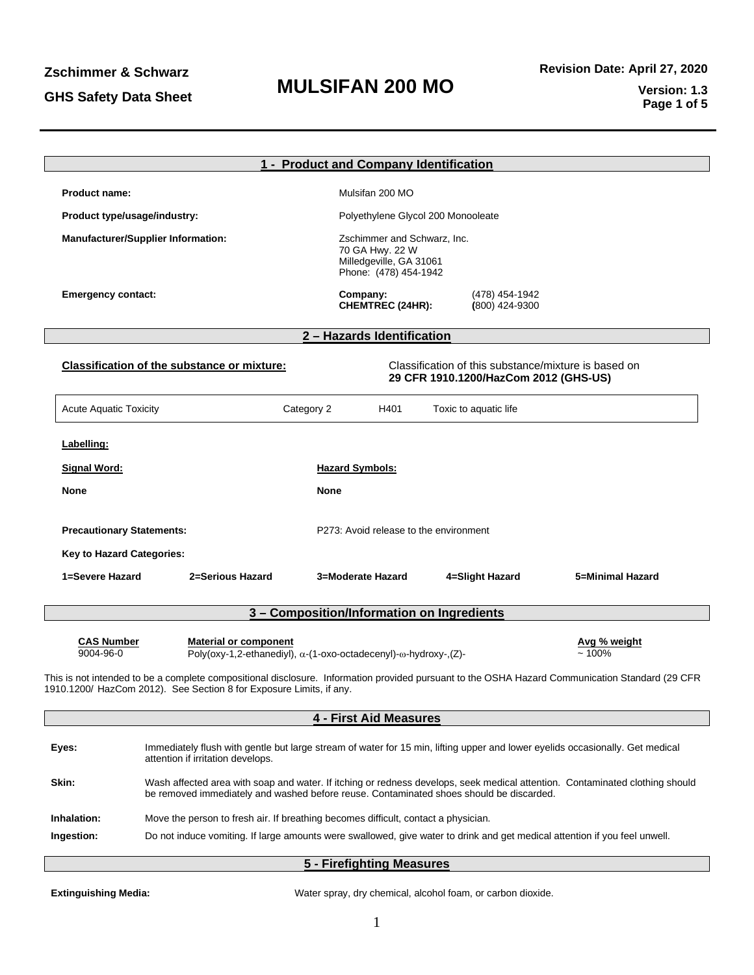|                                                                                                                                                                                                                        |                                                                                                                                                                                                                         | 1 - Product and Company Identification                                                             |                                                             |                       |                       |  |  |
|------------------------------------------------------------------------------------------------------------------------------------------------------------------------------------------------------------------------|-------------------------------------------------------------------------------------------------------------------------------------------------------------------------------------------------------------------------|----------------------------------------------------------------------------------------------------|-------------------------------------------------------------|-----------------------|-----------------------|--|--|
|                                                                                                                                                                                                                        |                                                                                                                                                                                                                         |                                                                                                    |                                                             |                       |                       |  |  |
| <b>Product name:</b>                                                                                                                                                                                                   |                                                                                                                                                                                                                         |                                                                                                    | Mulsifan 200 MO                                             |                       |                       |  |  |
| Product type/usage/industry:                                                                                                                                                                                           | Polyethylene Glycol 200 Monooleate                                                                                                                                                                                      |                                                                                                    |                                                             |                       |                       |  |  |
| <b>Manufacturer/Supplier Information:</b>                                                                                                                                                                              |                                                                                                                                                                                                                         | Zschimmer and Schwarz, Inc.<br>70 GA Hwy. 22 W<br>Milledgeville, GA 31061<br>Phone: (478) 454-1942 |                                                             |                       |                       |  |  |
| <b>Emergency contact:</b>                                                                                                                                                                                              |                                                                                                                                                                                                                         | Company:                                                                                           | (478) 454-1942<br><b>CHEMTREC (24HR):</b><br>(800) 424-9300 |                       |                       |  |  |
|                                                                                                                                                                                                                        |                                                                                                                                                                                                                         | 2 - Hazards Identification                                                                         |                                                             |                       |                       |  |  |
| <b>Classification of the substance or mixture:</b><br>Classification of this substance/mixture is based on<br>29 CFR 1910.1200/HazCom 2012 (GHS-US)                                                                    |                                                                                                                                                                                                                         |                                                                                                    |                                                             |                       |                       |  |  |
| <b>Acute Aquatic Toxicity</b>                                                                                                                                                                                          |                                                                                                                                                                                                                         | Category 2<br>H401                                                                                 |                                                             | Toxic to aquatic life |                       |  |  |
| Labelling:                                                                                                                                                                                                             |                                                                                                                                                                                                                         |                                                                                                    |                                                             |                       |                       |  |  |
| <b>Signal Word:</b>                                                                                                                                                                                                    |                                                                                                                                                                                                                         | <b>Hazard Symbols:</b>                                                                             |                                                             |                       |                       |  |  |
| <b>None</b>                                                                                                                                                                                                            |                                                                                                                                                                                                                         | <b>None</b>                                                                                        |                                                             |                       |                       |  |  |
|                                                                                                                                                                                                                        |                                                                                                                                                                                                                         |                                                                                                    |                                                             |                       |                       |  |  |
| <b>Precautionary Statements:</b>                                                                                                                                                                                       |                                                                                                                                                                                                                         | P273: Avoid release to the environment                                                             |                                                             |                       |                       |  |  |
| Key to Hazard Categories:                                                                                                                                                                                              |                                                                                                                                                                                                                         |                                                                                                    |                                                             |                       |                       |  |  |
| 1=Severe Hazard                                                                                                                                                                                                        | 2=Serious Hazard                                                                                                                                                                                                        | 3=Moderate Hazard                                                                                  |                                                             | 4=Slight Hazard       | 5=Minimal Hazard      |  |  |
|                                                                                                                                                                                                                        |                                                                                                                                                                                                                         | 3 - Composition/Information on Ingredients                                                         |                                                             |                       |                       |  |  |
| <b>CAS Number</b><br>9004-96-0                                                                                                                                                                                         | <b>Material or component</b><br>Poly(oxy-1,2-ethanediyl), $\alpha$ -(1-oxo-octadecenyl)- $\omega$ -hydroxy-,(Z)-                                                                                                        |                                                                                                    |                                                             |                       | Avg % weight<br>~100% |  |  |
| This is not intended to be a complete compositional disclosure. Information provided pursuant to the OSHA Hazard Communication Standard (29 CFR<br>1910.1200/ HazCom 2012). See Section 8 for Exposure Limits, if any. |                                                                                                                                                                                                                         |                                                                                                    |                                                             |                       |                       |  |  |
|                                                                                                                                                                                                                        |                                                                                                                                                                                                                         | <b>4 - First Aid Measures</b>                                                                      |                                                             |                       |                       |  |  |
| Eyes:                                                                                                                                                                                                                  | Immediately flush with gentle but large stream of water for 15 min, lifting upper and lower eyelids occasionally. Get medical<br>attention if irritation develops.                                                      |                                                                                                    |                                                             |                       |                       |  |  |
| Skin:                                                                                                                                                                                                                  | Wash affected area with soap and water. If itching or redness develops, seek medical attention. Contaminated clothing should<br>be removed immediately and washed before reuse. Contaminated shoes should be discarded. |                                                                                                    |                                                             |                       |                       |  |  |
| Inhalation:                                                                                                                                                                                                            | Move the person to fresh air. If breathing becomes difficult, contact a physician.                                                                                                                                      |                                                                                                    |                                                             |                       |                       |  |  |
| Ingestion:                                                                                                                                                                                                             | Do not induce vomiting. If large amounts were swallowed, give water to drink and get medical attention if you feel unwell.                                                                                              |                                                                                                    |                                                             |                       |                       |  |  |
|                                                                                                                                                                                                                        |                                                                                                                                                                                                                         | 5 - Firefighting Measures                                                                          |                                                             |                       |                       |  |  |

**Extinguishing Media:** Water spray, dry chemical, alcohol foam, or carbon dioxide.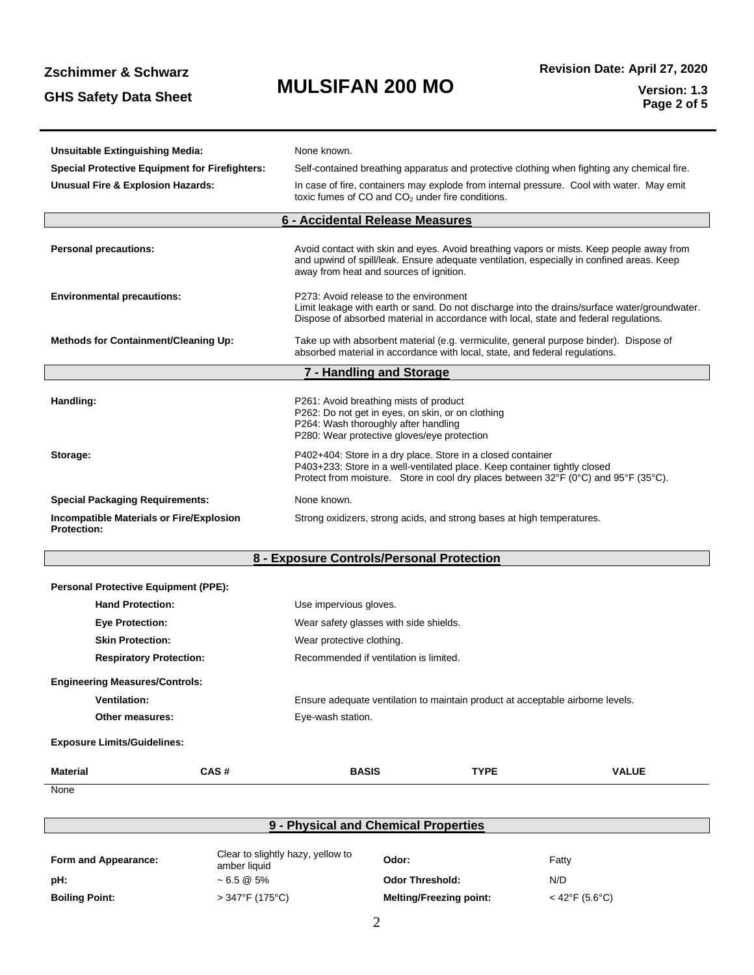#### **MULSIFAN 200 MO** GHS Safety Data Sheet **MULSIFAN 200 MO** Version: 1.3<br>Regalact Regard of E

# **Page 2 of 5**

| Unsuitable Extinguishing Media:                                | None known.                                                                                                                                                                                                                      |  |  |  |  |
|----------------------------------------------------------------|----------------------------------------------------------------------------------------------------------------------------------------------------------------------------------------------------------------------------------|--|--|--|--|
| <b>Special Protective Equipment for Firefighters:</b>          | Self-contained breathing apparatus and protective clothing when fighting any chemical fire.                                                                                                                                      |  |  |  |  |
| <b>Unusual Fire &amp; Explosion Hazards:</b>                   | In case of fire, containers may explode from internal pressure. Cool with water. May emit<br>toxic fumes of CO and CO <sub>2</sub> under fire conditions.                                                                        |  |  |  |  |
|                                                                | 6 - Accidental Release Measures                                                                                                                                                                                                  |  |  |  |  |
| <b>Personal precautions:</b>                                   | Avoid contact with skin and eyes. Avoid breathing vapors or mists. Keep people away from<br>and upwind of spill/leak. Ensure adequate ventilation, especially in confined areas. Keep<br>away from heat and sources of ignition. |  |  |  |  |
| <b>Environmental precautions:</b>                              | P273: Avoid release to the environment<br>Limit leakage with earth or sand. Do not discharge into the drains/surface water/groundwater.<br>Dispose of absorbed material in accordance with local, state and federal regulations. |  |  |  |  |
| <b>Methods for Containment/Cleaning Up:</b>                    | Take up with absorbent material (e.g. vermiculite, general purpose binder). Dispose of<br>absorbed material in accordance with local, state, and federal regulations.                                                            |  |  |  |  |
|                                                                | 7 - Handling and Storage                                                                                                                                                                                                         |  |  |  |  |
| Handling:                                                      | P261: Avoid breathing mists of product<br>P262: Do not get in eyes, on skin, or on clothing<br>P264: Wash thoroughly after handling<br>P280: Wear protective gloves/eye protection                                               |  |  |  |  |
| Storage:                                                       | P402+404: Store in a dry place. Store in a closed container<br>P403+233: Store in a well-ventilated place. Keep container tightly closed<br>Protect from moisture. Store in cool dry places between 32°F (0°C) and 95°F (35°C).  |  |  |  |  |
| <b>Special Packaging Requirements:</b>                         | None known.                                                                                                                                                                                                                      |  |  |  |  |
| Incompatible Materials or Fire/Explosion<br><b>Protection:</b> | Strong oxidizers, strong acids, and strong bases at high temperatures.                                                                                                                                                           |  |  |  |  |
| 8 - Exposure Controls/Personal Protection                      |                                                                                                                                                                                                                                  |  |  |  |  |
| <b>Personal Protective Equipment (PPE):</b>                    |                                                                                                                                                                                                                                  |  |  |  |  |
| <b>Hand Protection:</b>                                        | Use impervious gloves.                                                                                                                                                                                                           |  |  |  |  |
| <b>Eye Protection:</b>                                         | Wear safety glasses with side shields.                                                                                                                                                                                           |  |  |  |  |
| <b>Skin Protection:</b>                                        | Wear protective clothing.                                                                                                                                                                                                        |  |  |  |  |
| <b>Respiratory Protection:</b>                                 | Recommended if ventilation is limited.                                                                                                                                                                                           |  |  |  |  |
| <b>Engineering Measures/Controls:</b>                          |                                                                                                                                                                                                                                  |  |  |  |  |

**Ventilation:** Ensure adequate ventilation to maintain product at acceptable airborne levels. Other measures: Eye-wash station.

**Exposure Limits/Guidelines:**

| Material | CAS# | <b>BASIS</b> | <b>TYPE</b> | <b>VALUE</b> |
|----------|------|--------------|-------------|--------------|
| None     |      |              |             |              |

#### **9 - Physical and Chemical Properties**

| Form and Appearance:  | Clear to slightly hazy, yellow to<br>amber liquid | Odor:                          | Fatty            |
|-----------------------|---------------------------------------------------|--------------------------------|------------------|
| pH:                   | $~1$ – 6.5 $\omega$ 5%                            | <b>Odor Threshold:</b>         | N/D              |
| <b>Boiling Point:</b> | $>$ 347°F (175°C)                                 | <b>Melting/Freezing point:</b> | $<$ 42°F (5.6°C) |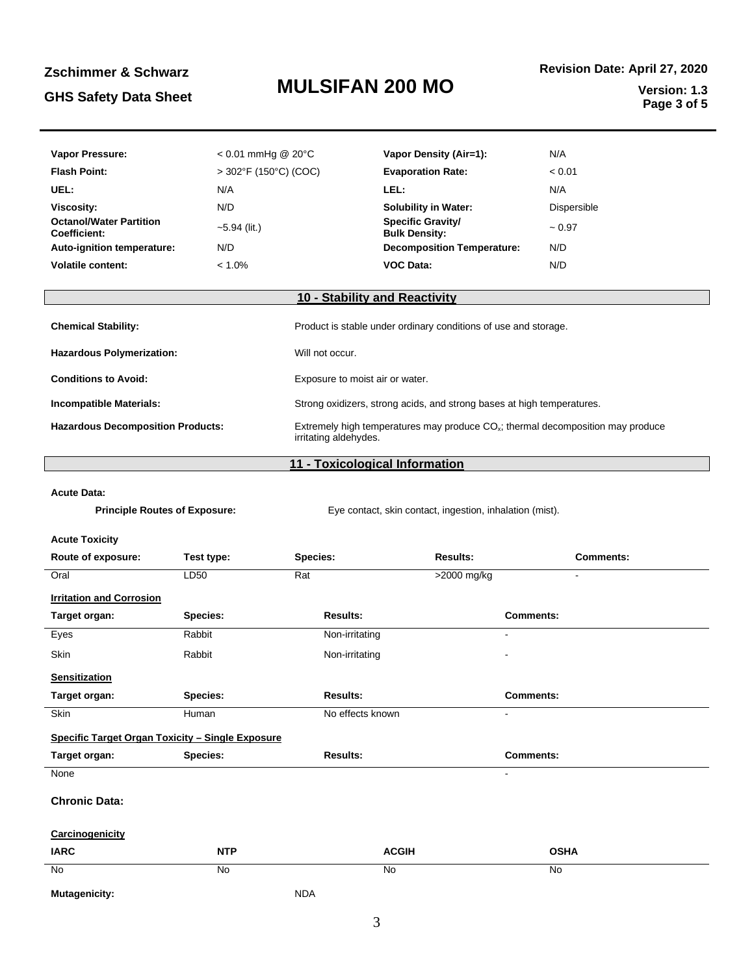## **Zschimmer & Schwarz GHS Safety Data Sheet**

## **MULSIFAN 200 MO**

**Revision Date: April 27, 2020**

**Page 3 of 5**

| Vapor Pressure:<br>< 0.01 mmHg @ 20°C                                                                                                                                                                                                              |                                                                        |                                                          |                                                                                   |
|----------------------------------------------------------------------------------------------------------------------------------------------------------------------------------------------------------------------------------------------------|------------------------------------------------------------------------|----------------------------------------------------------|-----------------------------------------------------------------------------------|
|                                                                                                                                                                                                                                                    |                                                                        | Vapor Density (Air=1):                                   | N/A                                                                               |
| <b>Flash Point:</b><br>> 302°F (150°C) (COC)                                                                                                                                                                                                       |                                                                        | <b>Evaporation Rate:</b>                                 | < 0.01                                                                            |
| UEL:<br>N/A                                                                                                                                                                                                                                        | LEL:                                                                   |                                                          | N/A                                                                               |
| N/D<br><b>Viscosity:</b>                                                                                                                                                                                                                           |                                                                        | <b>Solubility in Water:</b>                              | Dispersible                                                                       |
| <b>Octanol/Water Partition</b><br>$-5.94$ (lit.)<br>Coefficient:                                                                                                                                                                                   | <b>Bulk Density:</b>                                                   | Specific Gravity/                                        | ~10.97                                                                            |
| Auto-ignition temperature:<br>N/D                                                                                                                                                                                                                  |                                                                        | <b>Decomposition Temperature:</b>                        | N/D                                                                               |
| <b>Volatile content:</b><br>$< 1.0\%$                                                                                                                                                                                                              | <b>VOC Data:</b>                                                       |                                                          | N/D                                                                               |
|                                                                                                                                                                                                                                                    | <b>10 - Stability and Reactivity</b>                                   |                                                          |                                                                                   |
| <b>Chemical Stability:</b>                                                                                                                                                                                                                         | Product is stable under ordinary conditions of use and storage.        |                                                          |                                                                                   |
| <b>Hazardous Polymerization:</b>                                                                                                                                                                                                                   | Will not occur.                                                        |                                                          |                                                                                   |
| <b>Conditions to Avoid:</b>                                                                                                                                                                                                                        | Exposure to moist air or water.                                        |                                                          |                                                                                   |
| <b>Incompatible Materials:</b>                                                                                                                                                                                                                     | Strong oxidizers, strong acids, and strong bases at high temperatures. |                                                          |                                                                                   |
| <b>Hazardous Decomposition Products:</b>                                                                                                                                                                                                           | irritating aldehydes.                                                  |                                                          | Extremely high temperatures may produce $COx$ ; thermal decomposition may produce |
|                                                                                                                                                                                                                                                    | 11 - Toxicological Information                                         |                                                          |                                                                                   |
|                                                                                                                                                                                                                                                    |                                                                        |                                                          |                                                                                   |
| <b>Principle Routes of Exposure:</b>                                                                                                                                                                                                               |                                                                        | Eye contact, skin contact, ingestion, inhalation (mist). |                                                                                   |
|                                                                                                                                                                                                                                                    |                                                                        |                                                          |                                                                                   |
| Test type:                                                                                                                                                                                                                                         | <b>Species:</b>                                                        | <b>Results:</b>                                          | <b>Comments:</b>                                                                  |
| LD50                                                                                                                                                                                                                                               | Rat                                                                    | >2000 mg/kg                                              |                                                                                   |
|                                                                                                                                                                                                                                                    |                                                                        |                                                          |                                                                                   |
| <b>Species:</b>                                                                                                                                                                                                                                    | <b>Results:</b>                                                        | <b>Comments:</b>                                         |                                                                                   |
| Rabbit                                                                                                                                                                                                                                             | Non-irritating                                                         |                                                          |                                                                                   |
| Rabbit                                                                                                                                                                                                                                             | Non-irritating                                                         |                                                          |                                                                                   |
|                                                                                                                                                                                                                                                    |                                                                        |                                                          |                                                                                   |
| Species:                                                                                                                                                                                                                                           | <b>Results:</b>                                                        | <b>Comments:</b>                                         |                                                                                   |
| Human                                                                                                                                                                                                                                              | No effects known                                                       |                                                          |                                                                                   |
| <b>Acute Data:</b><br><b>Acute Toxicity</b><br>Route of exposure:<br>Oral<br><b>Irritation and Corrosion</b><br>Target organ:<br>Eyes<br>Skin<br><b>Sensitization</b><br>Target organ:<br>Skin<br>Specific Target Organ Toxicity - Single Exposure |                                                                        |                                                          |                                                                                   |
| <b>Species:</b>                                                                                                                                                                                                                                    | Results:                                                               | <b>Comments:</b>                                         |                                                                                   |
|                                                                                                                                                                                                                                                    |                                                                        | $\blacksquare$                                           |                                                                                   |
|                                                                                                                                                                                                                                                    |                                                                        |                                                          |                                                                                   |
|                                                                                                                                                                                                                                                    |                                                                        |                                                          |                                                                                   |
| Target organ:<br>None<br><b>Chronic Data:</b><br>Carcinogenicity<br><b>IARC</b><br><b>NTP</b>                                                                                                                                                      | <b>ACGIH</b>                                                           |                                                          | <b>OSHA</b>                                                                       |
| No<br>No                                                                                                                                                                                                                                           | No                                                                     |                                                          | No                                                                                |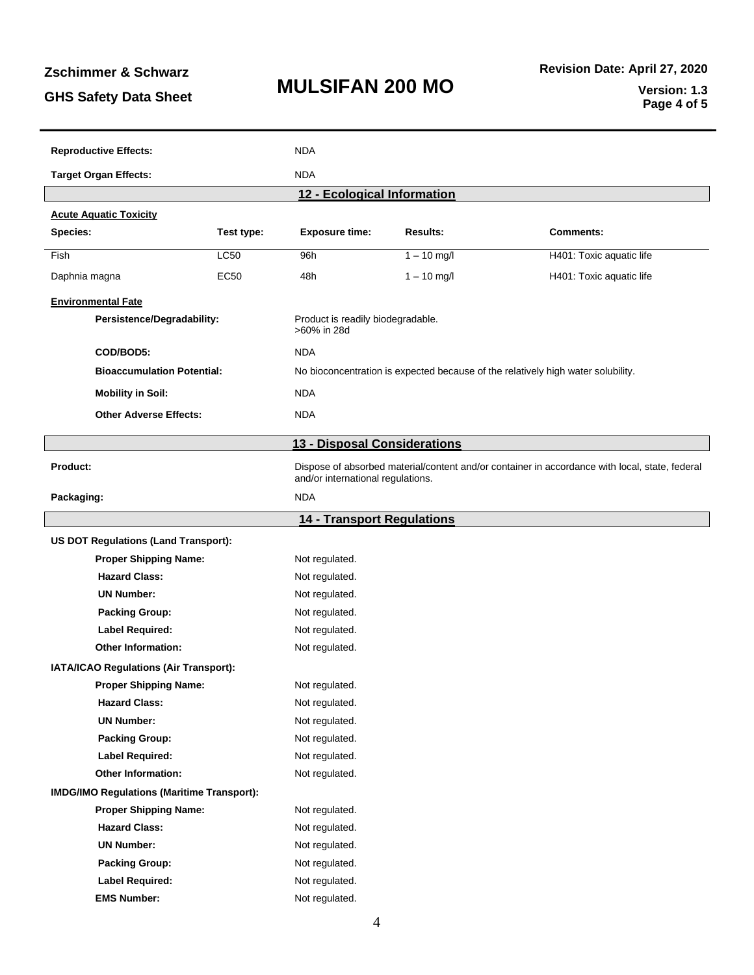Ĭ.

## **MULSIFAN 200 MO**

| <b>Reproductive Effects:</b>                      |             | <b>NDA</b>                                                                                                                          |                 |                                                                                  |  |  |  |
|---------------------------------------------------|-------------|-------------------------------------------------------------------------------------------------------------------------------------|-----------------|----------------------------------------------------------------------------------|--|--|--|
| <b>Target Organ Effects:</b>                      |             | <b>NDA</b>                                                                                                                          |                 |                                                                                  |  |  |  |
|                                                   |             | 12 - Ecological Information                                                                                                         |                 |                                                                                  |  |  |  |
| <b>Acute Aquatic Toxicity</b>                     |             |                                                                                                                                     |                 |                                                                                  |  |  |  |
| <b>Species:</b>                                   | Test type:  | <b>Exposure time:</b>                                                                                                               | <b>Results:</b> | <b>Comments:</b>                                                                 |  |  |  |
| Fish                                              | <b>LC50</b> | 96h                                                                                                                                 | $1 - 10$ mg/l   | H401: Toxic aquatic life                                                         |  |  |  |
| Daphnia magna                                     | EC50        | 48h                                                                                                                                 | $1 - 10$ mg/l   | H401: Toxic aquatic life                                                         |  |  |  |
|                                                   |             |                                                                                                                                     |                 |                                                                                  |  |  |  |
| <b>Environmental Fate</b>                         |             |                                                                                                                                     |                 |                                                                                  |  |  |  |
| Persistence/Degradability:                        |             | Product is readily biodegradable.<br>>60% in 28d                                                                                    |                 |                                                                                  |  |  |  |
| COD/BOD5:                                         |             | <b>NDA</b>                                                                                                                          |                 |                                                                                  |  |  |  |
| <b>Bioaccumulation Potential:</b>                 |             |                                                                                                                                     |                 | No bioconcentration is expected because of the relatively high water solubility. |  |  |  |
| <b>Mobility in Soil:</b>                          |             | <b>NDA</b>                                                                                                                          |                 |                                                                                  |  |  |  |
| <b>Other Adverse Effects:</b>                     |             | <b>NDA</b>                                                                                                                          |                 |                                                                                  |  |  |  |
|                                                   |             |                                                                                                                                     |                 |                                                                                  |  |  |  |
|                                                   |             | 13 - Disposal Considerations                                                                                                        |                 |                                                                                  |  |  |  |
| Product:                                          |             | Dispose of absorbed material/content and/or container in accordance with local, state, federal<br>and/or international regulations. |                 |                                                                                  |  |  |  |
| Packaging:                                        |             | <b>NDA</b>                                                                                                                          |                 |                                                                                  |  |  |  |
|                                                   |             | <b>14 - Transport Regulations</b>                                                                                                   |                 |                                                                                  |  |  |  |
| <b>US DOT Regulations (Land Transport):</b>       |             |                                                                                                                                     |                 |                                                                                  |  |  |  |
| <b>Proper Shipping Name:</b>                      |             | Not regulated.                                                                                                                      |                 |                                                                                  |  |  |  |
| <b>Hazard Class:</b>                              |             | Not regulated.                                                                                                                      |                 |                                                                                  |  |  |  |
| <b>UN Number:</b>                                 |             | Not regulated.                                                                                                                      |                 |                                                                                  |  |  |  |
| <b>Packing Group:</b>                             |             | Not regulated.                                                                                                                      |                 |                                                                                  |  |  |  |
| <b>Label Required:</b>                            |             | Not regulated.                                                                                                                      |                 |                                                                                  |  |  |  |
| <b>Other Information:</b>                         |             | Not regulated.                                                                                                                      |                 |                                                                                  |  |  |  |
| IATA/ICAO Regulations (Air Transport):            |             |                                                                                                                                     |                 |                                                                                  |  |  |  |
| <b>Proper Shipping Name:</b>                      |             | Not regulated.                                                                                                                      |                 |                                                                                  |  |  |  |
| <b>Hazard Class:</b>                              |             | Not regulated.                                                                                                                      |                 |                                                                                  |  |  |  |
| <b>UN Number:</b>                                 |             | Not regulated.                                                                                                                      |                 |                                                                                  |  |  |  |
| <b>Packing Group:</b>                             |             | Not regulated.                                                                                                                      |                 |                                                                                  |  |  |  |
| <b>Label Required:</b>                            |             | Not regulated.                                                                                                                      |                 |                                                                                  |  |  |  |
| <b>Other Information:</b>                         |             | Not regulated.                                                                                                                      |                 |                                                                                  |  |  |  |
| <b>IMDG/IMO Regulations (Maritime Transport):</b> |             |                                                                                                                                     |                 |                                                                                  |  |  |  |
| <b>Proper Shipping Name:</b>                      |             | Not regulated.                                                                                                                      |                 |                                                                                  |  |  |  |
| <b>Hazard Class:</b>                              |             | Not regulated.                                                                                                                      |                 |                                                                                  |  |  |  |
| <b>UN Number:</b>                                 |             | Not regulated.                                                                                                                      |                 |                                                                                  |  |  |  |
| <b>Packing Group:</b>                             |             | Not regulated.                                                                                                                      |                 |                                                                                  |  |  |  |
| <b>Label Required:</b>                            |             | Not regulated.                                                                                                                      |                 |                                                                                  |  |  |  |
| <b>EMS Number:</b>                                |             | Not regulated.                                                                                                                      |                 |                                                                                  |  |  |  |